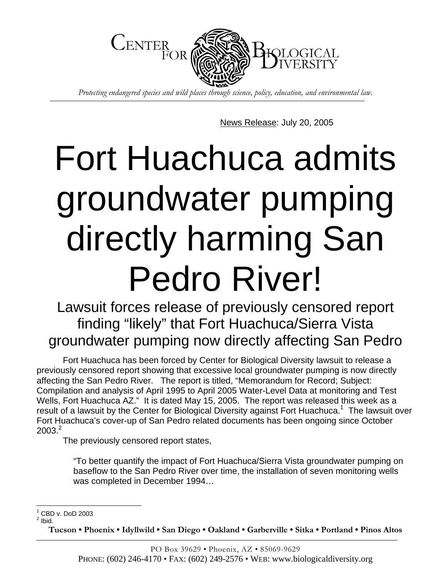

*Protecting endangered species and wild places through science, policy, education, and environmental law.* 

News Release: July 20, 2005

## Fort Huachuca admits groundwater pumping directly harming San Pedro River!

Lawsuit forces release of previously censored report finding "likely" that Fort Huachuca/Sierra Vista groundwater pumping now directly affecting San Pedro

Fort Huachuca has been forced by Center for Biological Diversity lawsuit to release a previously censored report showing that excessive local groundwater pumping is now directly affecting the San Pedro River. The report is titled, "Memorandum for Record; Subject: Compilation and analysis of April 1995 to April 2005 Water-Level Data at monitoring and Test Wells, Fort Huachuca AZ." It is dated May 15, 2005. The report was released this week as a result of a lawsuit by the Center for Biological Diversity against Fort Huachuca.<sup>1</sup> The lawsuit over Fort Huachuca's cover-up of San Pedro related documents has been ongoing since October  $2003.<sup>2</sup>$  $2003.<sup>2</sup>$ 

The previously censored report states,

"To better quantify the impact of Fort Huachuca/Sierra Vista groundwater pumping on baseflow to the San Pedro River over time, the installation of seven monitoring wells was completed in December 1994…

**Tucson • Phoenix • Idyllwild • San Diego • Oakland • Garberville • Sitka • Portland • Pinos Altos** 

 1 CBD v. DoD 2003

<span id="page-0-1"></span><span id="page-0-0"></span> $<sup>2</sup>$  Ibid.</sup>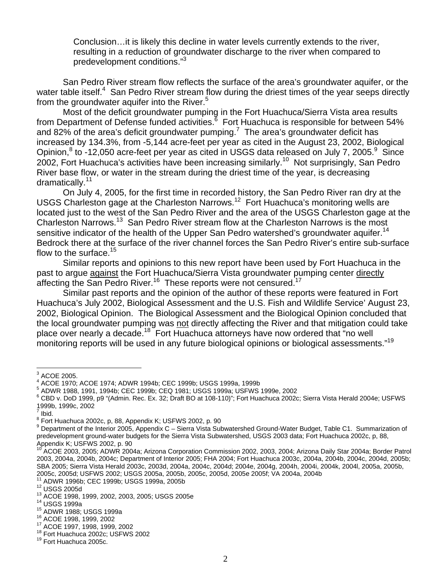Conclusion…it is likely this decline in water levels currently extends to the river, resulting in a reduction of groundwater discharge to the river when compared to predevelopment conditions."[3](#page-1-0)

San Pedro River stream flow reflects the surface of the area's groundwater aquifer, or the water table itself.<sup>4</sup> San Pedro River stream flow during the driest times of the year seeps directly from the groundwater aquifer into the River.<sup>[5](#page-1-2)</sup>

Most of the deficit groundwater pumping in the Fort Huachuca/Sierra Vista area results from Department of Defense funded activities.<sup>8</sup> Fort Huachuca is responsible for between 54% and 82% of the area's deficit groundwater pumping.<sup>[7](#page-1-4)</sup> The area's groundwater deficit has increased by 134.3%, from -5,144 acre-feet per year as cited in the August 23, 2002, Biological Opinion, $^8$  $^8$  to -12,050 acre-feet per year as cited in USGS data released on July 7, 2005. $^9$  $^9$  Since 2002, Fort Huachuca's activities have been increasing similarly.[10](#page-1-7) Not surprisingly, San Pedro River base flow, or water in the stream during the driest time of the year, is decreasing dramatically.<sup>11</sup>

On July 4, 2005, for the first time in recorded history, the San Pedro River ran dry at the USGS Charleston gage at the Charleston Narrows.[12](#page-1-9) Fort Huachuca's monitoring wells are located just to the west of the San Pedro River and the area of the USGS Charleston gage at the Charleston Narrows.[13](#page-1-10) San Pedro River stream flow at the Charleston Narrows is the most sensitive indicator of the health of the Upper San Pedro watershed's groundwater aquifer.<sup>14</sup> Bedrock there at the surface of the river channel forces the San Pedro River's entire sub-surface flow to the surface. $15$ 

Similar reports and opinions to this new report have been used by Fort Huachuca in the past to argue against the Fort Huachuca/Sierra Vista groundwater pumping center directly affecting the San Pedro River.<sup>16</sup> These reports were not censured.<sup>[17](#page-1-14)</sup>

Similar past reports and the opinion of the author of these reports were featured in Fort Huachuca's July 2002, Biological Assessment and the U.S. Fish and Wildlife Service' August 23, 2002, Biological Opinion. The Biological Assessment and the Biological Opinion concluded that the local groundwater pumping was not directly affecting the River and that mitigation could take place over nearly a decade.[18](#page-1-15) Fort Huachuca attorneys have now ordered that "no well monitoring reports will be used in any future biological opinions or biological assessments."<sup>[19](#page-1-16)</sup>

 3 ACOE 2005.

<span id="page-1-1"></span><span id="page-1-0"></span><sup>&</sup>lt;sup>4</sup> ACOE 1970; ACOE 1974; ADWR 1994b; CEC 1999b; USGS 1999a, 1999b<br>5 ADWR 1988, 1991, 1994b; CEC 1999b; CEO 1994; USGS 1999p; USEWS

<span id="page-1-2"></span><sup>&</sup>lt;sup>5</sup> ADWR 1988, 1991, 1994b; CEC 1999b; CEQ 1981; USGS 1999a; USFWS 1999e, 2002

<span id="page-1-3"></span>CBD v. DoD 1999, p9 "(Admin. Rec. Ex. 32; Draft BO at 108-110)"; Fort Huachuca 2002c; Sierra Vista Herald 2004e; USFWS 1999b, 1999c, 2002 7

<span id="page-1-4"></span>Ibid.

<span id="page-1-5"></span> $^8$  Fort Huachuca 2002c, p, 88, Appendix K; USFWS 2002, p. 90<br><sup>9</sup> Department of the Interior 2005, Appendix C., Sierre Victo Sub

<span id="page-1-6"></span><sup>&</sup>lt;sup>9</sup> Department of the Interior 2005, Appendix C – Sierra Vista Subwatershed Ground-Water Budget, Table C1. Summarization of predevelopment ground-water budgets for the Sierra Vista Subwatershed, USGS 2003 data; Fort Huachuca 2002c, p, 88,<br>Appendix K; USFWS 2002, p. 90<br><sup>10</sup> ACOE 2002, 2005; ADM/P 2004; Arise, C. C. C. C. C. C. C. C. C. C. C. C.

<span id="page-1-7"></span>ACOE 2003, 2005; ADWR 2004a; Arizona Corporation Commission 2002, 2003, 2004; Arizona Daily Star 2004a; Border Patrol 2003, 2004a, 2004b, 2004c; Department of Interior 2005; FHA 2004; Fort Huachuca 2003c, 2004a, 2004b, 2004c, 2004d, 2005b; SBA 2005; Sierra Vista Herald 2003c, 2003d, 2004a, 2004c, 2004d; 2004e, 2004g, 2004h, 2004i, 2004k, 2004l, 2005a, 2005b,<br>2005c, 2005d; USFWS 2002; USGS 2005a, 2005b, 2005c, 2005d, 2005e 2005f; VA 2004a, 2004b 2005c, 2005d; USFWS 2002; USGS 2005a, 2005b, 2005c, 2005d, 2005e 2005f; VA 2004a, 2004b<br><sup>11</sup> ADWR 1996b; CEC 1999b; USGS 1999a, 2005b<br><sup>12</sup> USGS 2005d<br><sup>13</sup> ACOE 1998, 1999, 2002, 2003, 2005; USGS 2005e<br><sup>14</sup> USGS 1999a<br><sup>15</sup>

<span id="page-1-8"></span>

<span id="page-1-9"></span>

<span id="page-1-10"></span>

<span id="page-1-11"></span>

<span id="page-1-12"></span>

<span id="page-1-13"></span>

<span id="page-1-14"></span>

<span id="page-1-15"></span>

<span id="page-1-16"></span>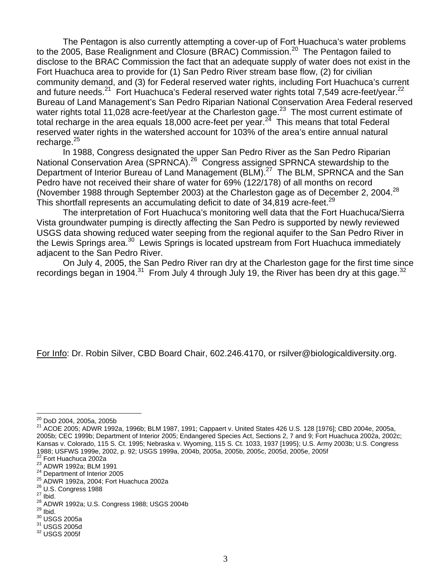The Pentagon is also currently attempting a cover-up of Fort Huachuca's water problems to the 2005, Base Realignment and Closure (BRAC) Commission.<sup>20</sup> The Pentagon failed to disclose to the BRAC Commission the fact that an adequate supply of water does not exist in the Fort Huachuca area to provide for (1) San Pedro River stream base flow, (2) for civilian community demand, and (3) for Federal reserved water rights, including Fort Huachuca's current and future needs.<sup>21</sup> Fort Huachuca's Federal reserved water rights total 7,549 acre-feet/year.<sup>22</sup> Bureau of Land Management's San Pedro Riparian National Conservation Area Federal reserved water rights total 11,028 acre-feet/year at the Charleston gage.<sup>23</sup> The most current estimate of total recharge in the area equals 18,000 acre-feet per year.<sup>24</sup> This means that total Federal reserved water rights in the watershed account for 103% of the area's entire annual natural recharge. $25$ 

In 1988, Congress designated the upper San Pedro River as the San Pedro Riparian National Conservation Area (SPRNCA).<sup>26</sup> Congress assigned SPRNCA stewardship to the Department of Interior Bureau of Land Management (BLM).<sup>27</sup> The BLM, SPRNCA and the San Pedro have not received their share of water for 69% (122/178) of all months on record (November 1988 through September 2003) at the Charleston gage as of December 2, 2004.<sup>28</sup> This shortfall represents an accumulating deficit to date of 34,819 acre-feet.<sup>[29](#page-2-9)</sup>

The interpretation of Fort Huachuca's monitoring well data that the Fort Huachuca/Sierra Vista groundwater pumping is directly affecting the San Pedro is supported by newly reviewed USGS data showing reduced water seeping from the regional aquifer to the San Pedro River in the Lewis Springs area.<sup>30</sup> Lewis Springs is located upstream from Fort Huachuca immediately adjacent to the San Pedro River.

On July 4, 2005, the San Pedro River ran dry at the Charleston gage for the first time since recordings began in 1904.<sup>31</sup> From July 4 through July 19, the River has been dry at this gage.<sup>[32](#page-2-12)</sup>

For Info: Dr. Robin Silver, CBD Board Chair, 602.246.4170, or rsilver@biologicaldiversity.org.

<span id="page-2-0"></span><sup>&</sup>lt;sup>20</sup> DoD 2004, 2005a, 2005b

<span id="page-2-1"></span> $21$  ACOE 2005; ADWR 1992a, 1996b; BLM 1987, 1991; Cappaert v. United States 426 U.S. 128 [1976]; CBD 2004e, 2005a, 2005b; CEC 1999b; Department of Interior 2005; Endangered Species Act, Sections 2, 7 and 9; Fort Huachuca 2002a, 2002c; Kansas v. Colorado, 115 S. Ct. 1995; Nebraska v. Wyoming, 115 S. Ct. 1033, 1937 [1995}; U.S. Army 2003b; U.S. Congress<br>1988; USFWS 1999e, 2002, p. 92; USGS 1999a, 2004b, 2005a, 2005b, 2005c, 2005d, 2005e, 2005f 1988; USFWS 1999e, 2002, p. 92; USGS 1999a, 2004b, 2005a, 2005b, 2005c, 2005d, 2005e, 2005f<br><sup>22</sup> Fort Huachuca 2002a<br><sup>23</sup> ADWR 1992a; BLM 1991<br><sup>24</sup> Department of Interior 2005<br><sup>25</sup> ADWR 1992a, 2004; Fort Huachuca 2002a<br><sup>25</sup>

<span id="page-2-2"></span>

<span id="page-2-3"></span>

<span id="page-2-4"></span>

<span id="page-2-5"></span>

<span id="page-2-6"></span>

<span id="page-2-7"></span>

<span id="page-2-8"></span>

<span id="page-2-9"></span>

<span id="page-2-10"></span>

<span id="page-2-11"></span>

<span id="page-2-12"></span>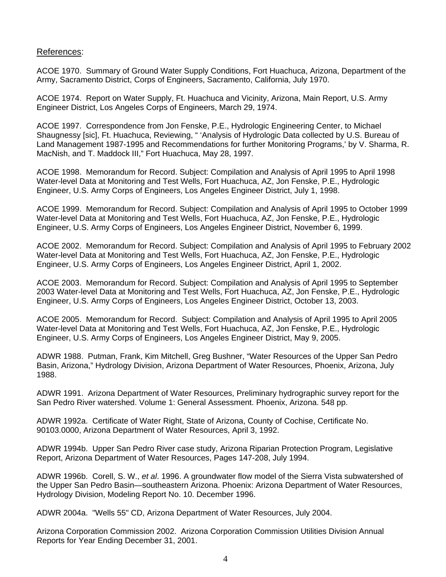## References:

ACOE 1970. Summary of Ground Water Supply Conditions, Fort Huachuca, Arizona, Department of the Army, Sacramento District, Corps of Engineers, Sacramento, California, July 1970.

ACOE 1974. Report on Water Supply, Ft. Huachuca and Vicinity, Arizona, Main Report, U.S. Army Engineer District, Los Angeles Corps of Engineers, March 29, 1974.

ACOE 1997. Correspondence from Jon Fenske, P.E., Hydrologic Engineering Center, to Michael Shaugnessy [sic], Ft. Huachuca, Reviewing, " 'Analysis of Hydrologic Data collected by U.S. Bureau of Land Management 1987-1995 and Recommendations for further Monitoring Programs,' by V. Sharma, R. MacNish, and T. Maddock III," Fort Huachuca, May 28, 1997.

ACOE 1998. Memorandum for Record. Subject: Compilation and Analysis of April 1995 to April 1998 Water-level Data at Monitoring and Test Wells, Fort Huachuca, AZ, Jon Fenske, P.E., Hydrologic Engineer, U.S. Army Corps of Engineers, Los Angeles Engineer District, July 1, 1998.

ACOE 1999. Memorandum for Record. Subject: Compilation and Analysis of April 1995 to October 1999 Water-level Data at Monitoring and Test Wells, Fort Huachuca, AZ, Jon Fenske, P.E., Hydrologic Engineer, U.S. Army Corps of Engineers, Los Angeles Engineer District, November 6, 1999.

ACOE 2002. Memorandum for Record. Subject: Compilation and Analysis of April 1995 to February 2002 Water-level Data at Monitoring and Test Wells, Fort Huachuca, AZ, Jon Fenske, P.E., Hydrologic Engineer, U.S. Army Corps of Engineers, Los Angeles Engineer District, April 1, 2002.

ACOE 2003. Memorandum for Record. Subject: Compilation and Analysis of April 1995 to September 2003 Water-level Data at Monitoring and Test Wells, Fort Huachuca, AZ, Jon Fenske, P.E., Hydrologic Engineer, U.S. Army Corps of Engineers, Los Angeles Engineer District, October 13, 2003.

ACOE 2005. Memorandum for Record. Subject: Compilation and Analysis of April 1995 to April 2005 Water-level Data at Monitoring and Test Wells, Fort Huachuca, AZ, Jon Fenske, P.E., Hydrologic Engineer, U.S. Army Corps of Engineers, Los Angeles Engineer District, May 9, 2005.

ADWR 1988. Putman, Frank, Kim Mitchell, Greg Bushner, "Water Resources of the Upper San Pedro Basin, Arizona," Hydrology Division, Arizona Department of Water Resources, Phoenix, Arizona, July 1988.

ADWR 1991. Arizona Department of Water Resources, Preliminary hydrographic survey report for the San Pedro River watershed. Volume 1: General Assessment. Phoenix, Arizona. 548 pp.

ADWR 1992a. Certificate of Water Right, State of Arizona, County of Cochise, Certificate No. 90103.0000, Arizona Department of Water Resources, April 3, 1992.

ADWR 1994b. Upper San Pedro River case study, Arizona Riparian Protection Program, Legislative Report, Arizona Department of Water Resources, Pages 147-208, July 1994.

ADWR 1996b. Corell, S. W., *et al*. 1996. A groundwater flow model of the Sierra Vista subwatershed of the Upper San Pedro Basin—southeastern Arizona. Phoenix: Arizona Department of Water Resources, Hydrology Division, Modeling Report No. 10. December 1996.

ADWR 2004a. "Wells 55" CD, Arizona Department of Water Resources, July 2004.

Arizona Corporation Commission 2002. Arizona Corporation Commission Utilities Division Annual Reports for Year Ending December 31, 2001.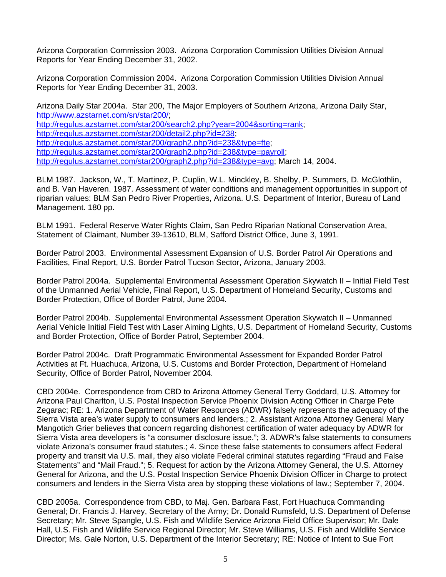Arizona Corporation Commission 2003. Arizona Corporation Commission Utilities Division Annual Reports for Year Ending December 31, 2002.

Arizona Corporation Commission 2004. Arizona Corporation Commission Utilities Division Annual Reports for Year Ending December 31, 2003.

Arizona Daily Star 2004a. Star 200, The Major Employers of Southern Arizona, Arizona Daily Star, <http://www.azstarnet.com/sn/star200/>; <http://regulus.azstarnet.com/star200/search2.php?year=2004&sorting=rank>; <http://regulus.azstarnet.com/star200/detail2.php?id=238>; [http://regulus.azstarnet.com/star200/graph2.php?id=238&type=fte;](http://regulus.azstarnet.com/star200/graph2.php?id=238&type=fte) <http://regulus.azstarnet.com/star200/graph2.php?id=238&type=payroll>; <http://regulus.azstarnet.com/star200/graph2.php?id=238&type=avg>; March 14, 2004.

BLM 1987. Jackson, W., T. Martinez, P. Cuplin, W.L. Minckley, B. Shelby, P. Summers, D. McGlothlin, and B. Van Haveren. 1987. Assessment of water conditions and management opportunities in support of riparian values: BLM San Pedro River Properties, Arizona. U.S. Department of Interior, Bureau of Land Management. 180 pp.

BLM 1991. Federal Reserve Water Rights Claim, San Pedro Riparian National Conservation Area, Statement of Claimant, Number 39-13610, BLM, Safford District Office, June 3, 1991.

Border Patrol 2003. Environmental Assessment Expansion of U.S. Border Patrol Air Operations and Facilities, Final Report, U.S. Border Patrol Tucson Sector, Arizona, January 2003.

Border Patrol 2004a. Supplemental Environmental Assessment Operation Skywatch II – Initial Field Test of the Unmanned Aerial Vehicle, Final Report, U.S. Department of Homeland Security, Customs and Border Protection, Office of Border Patrol, June 2004.

Border Patrol 2004b. Supplemental Environmental Assessment Operation Skywatch II – Unmanned Aerial Vehicle Initial Field Test with Laser Aiming Lights, U.S. Department of Homeland Security, Customs and Border Protection, Office of Border Patrol, September 2004.

Border Patrol 2004c. Draft Programmatic Environmental Assessment for Expanded Border Patrol Activities at Ft. Huachuca, Arizona, U.S. Customs and Border Protection, Department of Homeland Security, Office of Border Patrol, November 2004.

CBD 2004e. Correspondence from CBD to Arizona Attorney General Terry Goddard, U.S. Attorney for Arizona Paul Charlton, U.S. Postal Inspection Service Phoenix Division Acting Officer in Charge Pete Zegarac; RE: 1. Arizona Department of Water Resources (ADWR) falsely represents the adequacy of the Sierra Vista area's water supply to consumers and lenders.; 2. Assistant Arizona Attorney General Mary Mangotich Grier believes that concern regarding dishonest certification of water adequacy by ADWR for Sierra Vista area developers is "a consumer disclosure issue."; 3. ADWR's false statements to consumers violate Arizona's consumer fraud statutes.; 4. Since these false statements to consumers affect Federal property and transit via U.S. mail, they also violate Federal criminal statutes regarding "Fraud and False Statements" and "Mail Fraud."; 5. Request for action by the Arizona Attorney General, the U.S. Attorney General for Arizona, and the U.S. Postal Inspection Service Phoenix Division Officer in Charge to protect consumers and lenders in the Sierra Vista area by stopping these violations of law.; September 7, 2004.

CBD 2005a. Correspondence from CBD, to Maj. Gen. Barbara Fast, Fort Huachuca Commanding General; Dr. Francis J. Harvey, Secretary of the Army; Dr. Donald Rumsfeld, U.S. Department of Defense Secretary; Mr. Steve Spangle, U.S. Fish and Wildlife Service Arizona Field Office Supervisor; Mr. Dale Hall, U.S. Fish and Wildlife Service Regional Director; Mr. Steve Williams, U.S. Fish and Wildlife Service Director; Ms. Gale Norton, U.S. Department of the Interior Secretary; RE: Notice of Intent to Sue Fort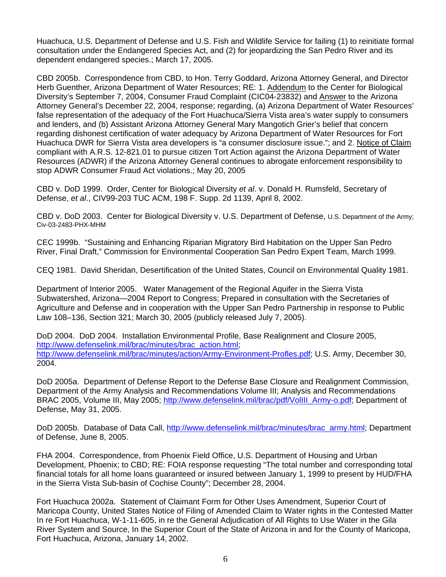Huachuca, U.S. Department of Defense and U.S. Fish and Wildlife Service for failing (1) to reinitiate formal consultation under the Endangered Species Act, and (2) for jeopardizing the San Pedro River and its dependent endangered species.; March 17, 2005.

CBD 2005b. Correspondence from CBD, to Hon. Terry Goddard, Arizona Attorney General, and Director Herb Guenther, Arizona Department of Water Resources; RE: 1. Addendum to the Center for Biological Diversity's September 7, 2004, Consumer Fraud Complaint (CIC04-23832) and Answer to the Arizona Attorney General's December 22, 2004, response; regarding, (a) Arizona Department of Water Resources' false representation of the adequacy of the Fort Huachuca/Sierra Vista area's water supply to consumers and lenders, and (b) Assistant Arizona Attorney General Mary Mangotich Grier's belief that concern regarding dishonest certification of water adequacy by Arizona Department of Water Resources for Fort Huachuca DWR for Sierra Vista area developers is "a consumer disclosure issue."; and 2. Notice of Claim compliant with A.R.S. 12-821.01 to pursue citizen Tort Action against the Arizona Department of Water Resources (ADWR) if the Arizona Attorney General continues to abrogate enforcement responsibility to stop ADWR Consumer Fraud Act violations.; May 20, 2005

CBD v. DoD 1999. Order, Center for Biological Diversity *et al*. v. Donald H. Rumsfeld, Secretary of Defense, *et al*., CIV99-203 TUC ACM, 198 F. Supp. 2d 1139, April 8, 2002.

CBD v. DoD 2003. Center for Biological Diversity v. U.S. Department of Defense, U.S. Department of the Army; Civ-03-2483-PHX-MHM

CEC 1999b. "Sustaining and Enhancing Riparian Migratory Bird Habitation on the Upper San Pedro River, Final Draft," Commission for Environmental Cooperation San Pedro Expert Team, March 1999.

CEQ 1981. David Sheridan, Desertification of the United States, Council on Environmental Quality 1981.

Department of Interior 2005. Water Management of the Regional Aquifer in the Sierra Vista Subwatershed, Arizona—2004 Report to Congress; Prepared in consultation with the Secretaries of Agriculture and Defense and in cooperation with the Upper San Pedro Partnership in response to Public Law 108–136, Section 321; March 30, 2005 (publicly released July 7, 2005).

DoD 2004. DoD 2004. Installation Environmental Profile, Base Realignment and Closure 2005, [http://www.defenselink.mil/brac/minutes/brac\\_action.html](http://www.defenselink.mil/brac/minutes/brac_action.html); <http://www.defenselink.mil/brac/minutes/action/Army-Environment-Profles.pdf>; U.S. Army, December 30, 2004.

DoD 2005a. Department of Defense Report to the Defense Base Closure and Realignment Commission, Department of the Army Analysis and Recommendations Volume III; Analysis and Recommendations BRAC 2005, Volume III, May 2005; [http://www.defenselink.mil/brac/pdf/VolIII\\_Army-o.pdf;](http://www.defenselink.mil/brac/pdf/VolIII_Army-o.pdf) Department of Defense, May 31, 2005.

DoD 2005b. Database of Data Call, [http://www.defenselink.mil/brac/minutes/brac\\_army.html;](http://www.defenselink.mil/brac/minutes/brac_army.html) Department of Defense, June 8, 2005.

FHA 2004. Correspondence, from Phoenix Field Office, U.S. Department of Housing and Urban Development, Phoenix; to CBD; RE: FOIA response requesting "The total number and corresponding total financial totals for all home loans guaranteed or insured between January 1, 1999 to present by HUD/FHA in the Sierra Vista Sub-basin of Cochise County"; December 28, 2004.

Fort Huachuca 2002a. Statement of Claimant Form for Other Uses Amendment, Superior Court of Maricopa County, United States Notice of Filing of Amended Claim to Water rights in the Contested Matter In re Fort Huachuca, W-1-11-605, in re the General Adjudication of All Rights to Use Water in the Gila River System and Source, In the Superior Court of the State of Arizona in and for the County of Maricopa, Fort Huachuca, Arizona, January 14, 2002.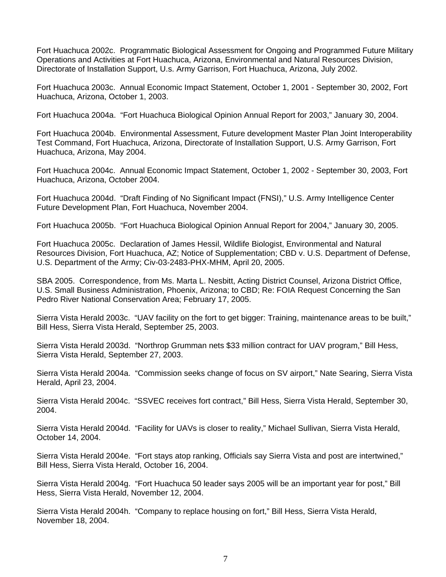Fort Huachuca 2002c. Programmatic Biological Assessment for Ongoing and Programmed Future Military Operations and Activities at Fort Huachuca, Arizona, Environmental and Natural Resources Division, Directorate of Installation Support, U.s. Army Garrison, Fort Huachuca, Arizona, July 2002.

Fort Huachuca 2003c. Annual Economic Impact Statement, October 1, 2001 - September 30, 2002, Fort Huachuca, Arizona, October 1, 2003.

Fort Huachuca 2004a. "Fort Huachuca Biological Opinion Annual Report for 2003," January 30, 2004.

Fort Huachuca 2004b. Environmental Assessment, Future development Master Plan Joint Interoperability Test Command, Fort Huachuca, Arizona, Directorate of Installation Support, U.S. Army Garrison, Fort Huachuca, Arizona, May 2004.

Fort Huachuca 2004c. Annual Economic Impact Statement, October 1, 2002 - September 30, 2003, Fort Huachuca, Arizona, October 2004.

Fort Huachuca 2004d. "Draft Finding of No Significant Impact (FNSI)," U.S. Army Intelligence Center Future Development Plan, Fort Huachuca, November 2004.

Fort Huachuca 2005b. "Fort Huachuca Biological Opinion Annual Report for 2004," January 30, 2005.

Fort Huachuca 2005c. Declaration of James Hessil, Wildlife Biologist, Environmental and Natural Resources Division, Fort Huachuca, AZ; Notice of Supplementation; CBD v. U.S. Department of Defense, U.S. Department of the Army; Civ-03-2483-PHX-MHM, April 20, 2005.

SBA 2005. Correspondence, from Ms. Marta L. Nesbitt, Acting District Counsel, Arizona District Office, U.S. Small Business Administration, Phoenix, Arizona; to CBD; Re: FOIA Request Concerning the San Pedro River National Conservation Area; February 17, 2005.

Sierra Vista Herald 2003c. "UAV facility on the fort to get bigger: Training, maintenance areas to be built," Bill Hess, Sierra Vista Herald, September 25, 2003.

Sierra Vista Herald 2003d. "Northrop Grumman nets \$33 million contract for UAV program," Bill Hess, Sierra Vista Herald, September 27, 2003.

Sierra Vista Herald 2004a. "Commission seeks change of focus on SV airport," Nate Searing, Sierra Vista Herald, April 23, 2004.

Sierra Vista Herald 2004c. "SSVEC receives fort contract," Bill Hess, Sierra Vista Herald, September 30, 2004.

Sierra Vista Herald 2004d. "Facility for UAVs is closer to reality," Michael Sullivan, Sierra Vista Herald, October 14, 2004.

Sierra Vista Herald 2004e. "Fort stays atop ranking, Officials say Sierra Vista and post are intertwined," Bill Hess, Sierra Vista Herald, October 16, 2004.

Sierra Vista Herald 2004g. "Fort Huachuca 50 leader says 2005 will be an important year for post," Bill Hess, Sierra Vista Herald, November 12, 2004.

Sierra Vista Herald 2004h. "Company to replace housing on fort," Bill Hess, Sierra Vista Herald, November 18, 2004.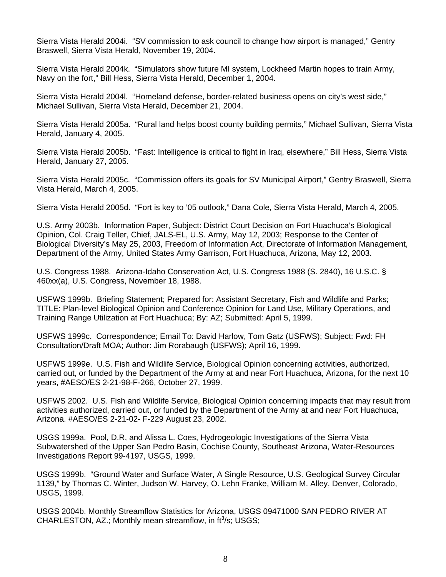Sierra Vista Herald 2004i. "SV commission to ask council to change how airport is managed," Gentry Braswell, Sierra Vista Herald, November 19, 2004.

Sierra Vista Herald 2004k. "Simulators show future MI system, Lockheed Martin hopes to train Army, Navy on the fort," Bill Hess, Sierra Vista Herald, December 1, 2004.

Sierra Vista Herald 2004l. "Homeland defense, border-related business opens on city's west side," Michael Sullivan, Sierra Vista Herald, December 21, 2004.

Sierra Vista Herald 2005a. "Rural land helps boost county building permits," Michael Sullivan, Sierra Vista Herald, January 4, 2005.

Sierra Vista Herald 2005b. "Fast: Intelligence is critical to fight in Iraq, elsewhere," Bill Hess, Sierra Vista Herald, January 27, 2005.

Sierra Vista Herald 2005c. "Commission offers its goals for SV Municipal Airport," Gentry Braswell, Sierra Vista Herald, March 4, 2005.

Sierra Vista Herald 2005d. "Fort is key to '05 outlook," Dana Cole, Sierra Vista Herald, March 4, 2005.

U.S. Army 2003b. Information Paper, Subject: District Court Decision on Fort Huachuca's Biological Opinion, Col. Craig Teller, Chief, JALS-EL, U.S. Army, May 12, 2003; Response to the Center of Biological Diversity's May 25, 2003, Freedom of Information Act, Directorate of Information Management, Department of the Army, United States Army Garrison, Fort Huachuca, Arizona, May 12, 2003.

U.S. Congress 1988. Arizona-Idaho Conservation Act, U.S. Congress 1988 (S. 2840), 16 U.S.C. § 460xx(a), U.S. Congress, November 18, 1988.

USFWS 1999b. Briefing Statement; Prepared for: Assistant Secretary, Fish and Wildlife and Parks; TITLE: Plan-level Biological Opinion and Conference Opinion for Land Use, Military Operations, and Training Range Utilization at Fort Huachuca; By: AZ; Submitted: April 5, 1999.

USFWS 1999c. Correspondence; Email To: David Harlow, Tom Gatz (USFWS); Subject: Fwd: FH Consultation/Draft MOA; Author: Jim Rorabaugh (USFWS); April 16, 1999.

USFWS 1999e. U.S. Fish and Wildlife Service, Biological Opinion concerning activities, authorized, carried out, or funded by the Department of the Army at and near Fort Huachuca, Arizona, for the next 10 years, #AESO/ES 2-21-98-F-266, October 27, 1999.

USFWS 2002. U.S. Fish and Wildlife Service, Biological Opinion concerning impacts that may result from activities authorized, carried out, or funded by the Department of the Army at and near Fort Huachuca, Arizona. #AESO/ES 2-21-02- F-229 August 23, 2002.

USGS 1999a. Pool, D.R, and Alissa L. Coes, Hydrogeologic Investigations of the Sierra Vista Subwatershed of the Upper San Pedro Basin, Cochise County, Southeast Arizona, Water-Resources Investigations Report 99-4197, USGS, 1999.

USGS 1999b. "Ground Water and Surface Water, A Single Resource, U.S. Geological Survey Circular 1139," by Thomas C. Winter, Judson W. Harvey, O. Lehn Franke, William M. Alley, Denver, Colorado, USGS, 1999.

USGS 2004b. Monthly Streamflow Statistics for Arizona, USGS 09471000 SAN PEDRO RIVER AT CHARLESTON, AZ.; Monthly mean streamflow, in  $ft^3/s$ ; USGS;